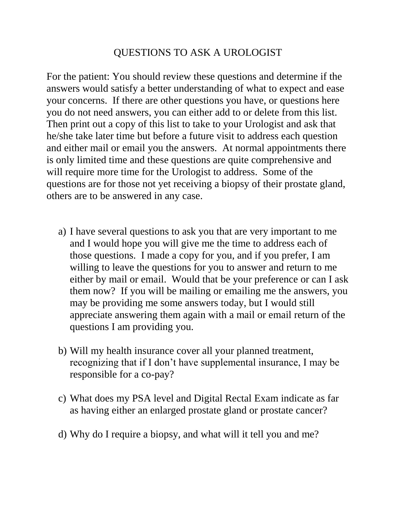## QUESTIONS TO ASK A UROLOGIST

For the patient: You should review these questions and determine if the answers would satisfy a better understanding of what to expect and ease your concerns. If there are other questions you have, or questions here you do not need answers, you can either add to or delete from this list. Then print out a copy of this list to take to your Urologist and ask that he/she take later time but before a future visit to address each question and either mail or email you the answers. At normal appointments there is only limited time and these questions are quite comprehensive and will require more time for the Urologist to address. Some of the questions are for those not yet receiving a biopsy of their prostate gland, others are to be answered in any case.

- a) I have several questions to ask you that are very important to me and I would hope you will give me the time to address each of those questions. I made a copy for you, and if you prefer, I am willing to leave the questions for you to answer and return to me either by mail or email. Would that be your preference or can I ask them now? If you will be mailing or emailing me the answers, you may be providing me some answers today, but I would still appreciate answering them again with a mail or email return of the questions I am providing you.
- b) Will my health insurance cover all your planned treatment, recognizing that if I don't have supplemental insurance, I may be responsible for a co-pay?
- c) What does my PSA level and Digital Rectal Exam indicate as far as having either an enlarged prostate gland or prostate cancer?
- d) Why do I require a biopsy, and what will it tell you and me?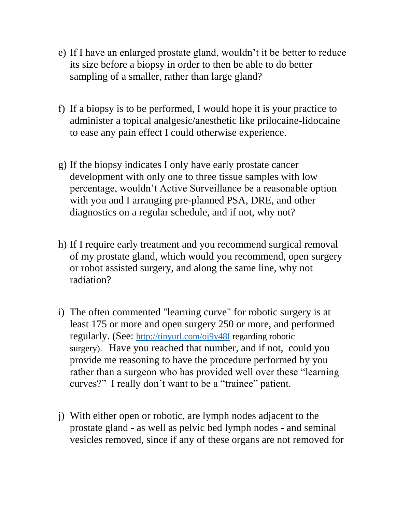- e) If I have an enlarged prostate gland, wouldn't it be better to reduce its size before a biopsy in order to then be able to do better sampling of a smaller, rather than large gland?
- f) If a biopsy is to be performed, I would hope it is your practice to administer a topical analgesic/anesthetic like prilocaine-lidocaine to ease any pain effect I could otherwise experience.
- g) If the biopsy indicates I only have early prostate cancer development with only one to three tissue samples with low percentage, wouldn't Active Surveillance be a reasonable option with you and I arranging pre-planned PSA, DRE, and other diagnostics on a regular schedule, and if not, why not?
- h) If I require early treatment and you recommend surgical removal of my prostate gland, which would you recommend, open surgery or robot assisted surgery, and along the same line, why not radiation?
- i) The often commented "learning curve" for robotic surgery is at least 175 or more and open surgery 250 or more, and performed regularly. (See: <http://tinyurl.com/oj9y48l> regarding robotic surgery). Have you reached that number, and if not, could you provide me reasoning to have the procedure performed by you rather than a surgeon who has provided well over these "learning curves?" I really don't want to be a "trainee" patient.
- j) With either open or robotic, are lymph nodes adjacent to the prostate gland - as well as pelvic bed lymph nodes - and seminal vesicles removed, since if any of these organs are not removed for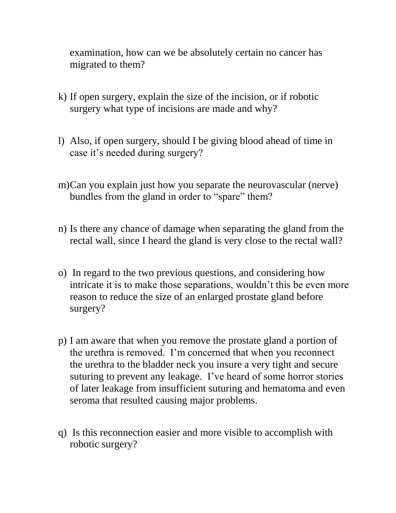examination, how can we be absolutely certain no cancer has migrated to them?

- k) If open surgery, explain the size of the incision, or if robotic surgery what type of incisions are made and why?
- l) Also, if open surgery, should I be giving blood ahead of time in case it's needed during surgery?
- m)Can you explain just how you separate the neurovascular (nerve) bundles from the gland in order to "spare" them?
- n) Is there any chance of damage when separating the gland from the rectal wall, since I heard the gland is very close to the rectal wall?
- o) In regard to the two previous questions, and considering how intricate it is to make those separations, wouldn't this be even more reason to reduce the size of an enlarged prostate gland before surgery?
- p) I am aware that when you remove the prostate gland a portion of the urethra is removed. I'm concerned that when you reconnect the urethra to the bladder neck you insure a very tight and secure suturing to prevent any leakage. I've heard of some horror stories of later leakage from insufficient suturing and hematoma and even seroma that resulted causing major problems.
- q) Is this reconnection easier and more visible to accomplish with robotic surgery?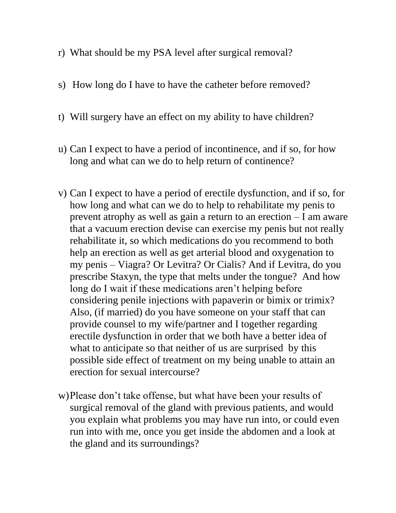- r) What should be my PSA level after surgical removal?
- s) How long do I have to have the catheter before removed?
- t) Will surgery have an effect on my ability to have children?
- u) Can I expect to have a period of incontinence, and if so, for how long and what can we do to help return of continence?
- v) Can I expect to have a period of erectile dysfunction, and if so, for how long and what can we do to help to rehabilitate my penis to prevent atrophy as well as gain a return to an erection – I am aware that a vacuum erection devise can exercise my penis but not really rehabilitate it, so which medications do you recommend to both help an erection as well as get arterial blood and oxygenation to my penis – Viagra? Or Levitra? Or Cialis? And if Levitra, do you prescribe Staxyn, the type that melts under the tongue? And how long do I wait if these medications aren't helping before considering penile injections with papaverin or bimix or trimix? Also, (if married) do you have someone on your staff that can provide counsel to my wife/partner and I together regarding erectile dysfunction in order that we both have a better idea of what to anticipate so that neither of us are surprised by this possible side effect of treatment on my being unable to attain an erection for sexual intercourse?
- w)Please don't take offense, but what have been your results of surgical removal of the gland with previous patients, and would you explain what problems you may have run into, or could even run into with me, once you get inside the abdomen and a look at the gland and its surroundings?